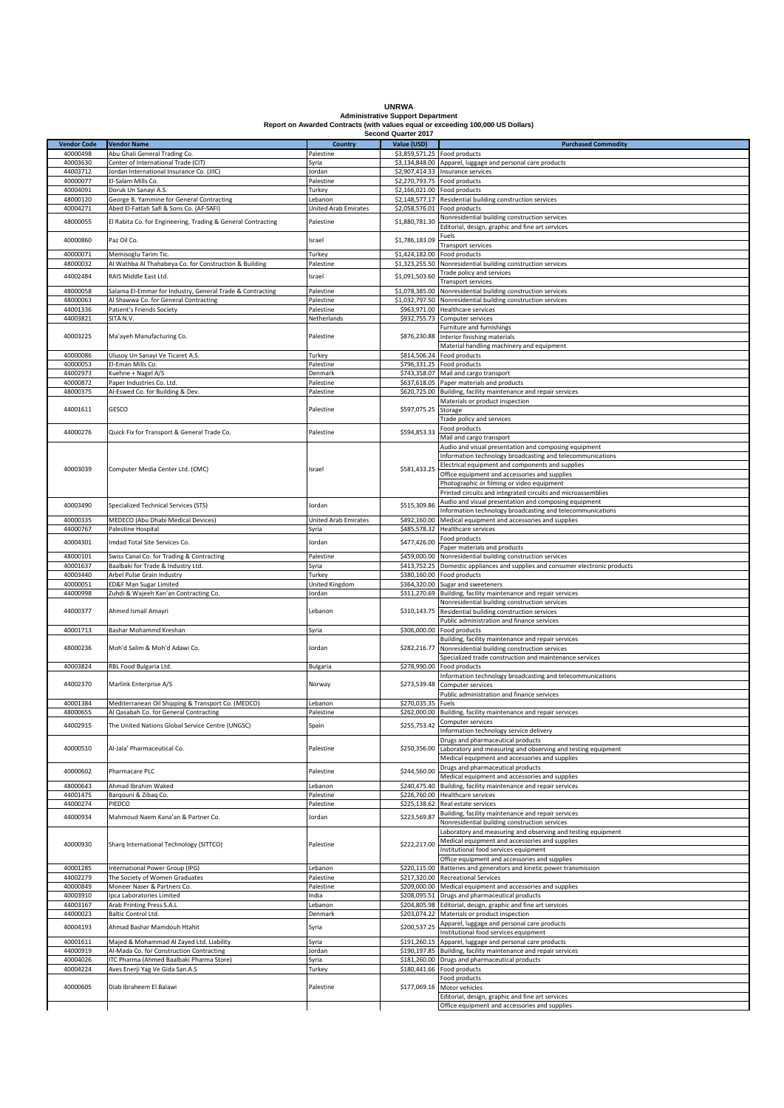| <b>UNRWA</b>                                                                    |
|---------------------------------------------------------------------------------|
| <b>Administrative Support Department</b>                                        |
| Report on Awarded Contracts (with values equal or exceeding 100,000 US Dollars) |

|                    |                                                              |                             | Second Quarter 2017          |                                                                                                   |
|--------------------|--------------------------------------------------------------|-----------------------------|------------------------------|---------------------------------------------------------------------------------------------------|
| <b>Vendor Code</b> | <b>Vendor Name</b>                                           | <b>Country</b>              | Value (USD)                  | <b>Purchased Commodity</b>                                                                        |
| 40000498           | Abu Ghali General Trading Co.                                | Palestine                   | \$3,859,571.25 Food products |                                                                                                   |
| 40003630           | Center of International Trade (CIT)                          | Syria                       |                              | \$3,134,848.00 Apparel, luggage and personal care products                                        |
| 44003712           | Jordan International Insurance Co. (JIIC)                    | Jordan                      |                              | \$2,907,414.33 Insurance services                                                                 |
|                    |                                                              |                             |                              |                                                                                                   |
| 40000077           | El-Salam Mills Co.                                           | Palestine                   | \$2,270,793.75 Food products |                                                                                                   |
| 40004091           | Doruk Un Sanayi A.S.                                         | Turkey                      | \$2,166,021.00 Food products |                                                                                                   |
| 48000120           | George B. Yammine for General Contracting                    | Lebanon                     | \$2,148,577.17               | Residential building construction services                                                        |
| 40004271           | Abed El-Fattah Safi & Sons Co. (AF-SAFI)                     | <b>United Arab Emirates</b> | \$2,058,576.01               | Food products                                                                                     |
| 48000055           | El Rabita Co. for Engineering, Trading & General Contracting | Palestine                   | \$1,880,781.30               | Nonresidential building construction services                                                     |
|                    |                                                              |                             |                              | Editorial, design, graphic and fine art services                                                  |
| 40000860           | Paz Oil Co.                                                  | Israel                      | \$1,786,183.09               | Fuels                                                                                             |
|                    |                                                              |                             |                              | Transport services                                                                                |
| 40000071           | Memisoglu Tarim Tic.                                         | Turkey                      | \$1,424,182.00               | Food products                                                                                     |
| 48000032           | Al Wathba Al Thahabeya Co. for Construction & Building       | Palestine                   | \$1,323,255.50               | Nonresidential building construction services                                                     |
|                    |                                                              |                             |                              | Trade policy and services                                                                         |
| 44002484           | RAIS Middle East Ltd.                                        | Israel                      | \$1,091,503.60               | <b>Transport services</b>                                                                         |
| 48000058           | Salama El-Emmar for Industry, General Trade & Contracting    | Palestine                   | \$1,078,385.00               | Nonresidential building construction services                                                     |
| 48000063           | Al Shawwa Co. for General Contracting                        | Palestine                   |                              | \$1,032,797.50 Nonresidential building construction services                                      |
| 44001336           | Patient's Friends Society                                    | Palestine                   |                              | \$963,971.00 Healthcare services                                                                  |
| 44003821           |                                                              |                             |                              |                                                                                                   |
|                    | SITA N.V.                                                    | Netherlands                 | \$932,755.73                 | Computer services                                                                                 |
|                    |                                                              |                             |                              | Furniture and furnishings                                                                         |
| 40003225           | Ma'ayeh Manufacturing Co.                                    | Palestine                   | \$876,230.88                 | Interior finishing materials                                                                      |
|                    |                                                              |                             |                              | Material handling machinery and equipment                                                         |
| 40000086           | Ulusoy Un Sanayi Ve Ticaret A.S.                             | Turkey                      |                              | \$814,506.24 Food products                                                                        |
| 40000053           | El-Eman Mills Co.                                            | Palestine                   |                              | \$796,331.25 Food products                                                                        |
| 44002973           | Kuehne + Nagel A/S                                           | Denmark                     | \$743,358.07                 | Mail and cargo transport                                                                          |
| 40000872           | Paper Industries Co. Ltd.                                    | Palestine                   |                              | \$637,618.05 Paper materials and products                                                         |
| 48000375           | Al-Eswed Co. for Building & Dev.                             | Palestine                   | \$620,725.00                 | Building, facility maintenance and repair services                                                |
|                    |                                                              |                             |                              | Materials or product inspection                                                                   |
| 44001611           | GESCO                                                        | Palestine                   | \$597,075.25                 | Storage                                                                                           |
|                    |                                                              |                             |                              | Trade policy and services                                                                         |
|                    |                                                              |                             |                              | Food products                                                                                     |
| 44000276           | Quick Fix for Transport & General Trade Co.                  | Palestine                   | \$594,853.33                 | Mail and cargo transport                                                                          |
|                    |                                                              |                             |                              | Audio and visual presentation and composing equipment                                             |
|                    |                                                              |                             |                              |                                                                                                   |
|                    |                                                              |                             |                              | nformation technology broadcasting and telecommunications                                         |
| 40003039           | Computer Media Center Ltd. (CMC)                             | Israel                      | \$581,433.25                 | Electrical equipment and components and supplies                                                  |
|                    |                                                              |                             |                              | Office equipment and accessories and supplies                                                     |
|                    |                                                              |                             |                              | Photographic or filming or video equipment                                                        |
|                    |                                                              |                             |                              | Printed circuits and integrated circuits and microassemblies                                      |
| 40003490           |                                                              |                             | \$515,309.86                 | Audio and visual presentation and composing equipment                                             |
|                    | Specialized Technical Services (STS)                         | Jordan                      |                              | Information technology broadcasting and telecommunications                                        |
| 40000335           | MEDECO (Abu Dhabi Medical Devices)                           | United Arab Emirates        | \$492,160.00                 | Medical equipment and accessories and supplies                                                    |
| 44000767           | Palestine Hospital                                           | Syria                       | \$485,578.32                 | Healthcare services                                                                               |
|                    |                                                              |                             |                              | Food products                                                                                     |
| 40004301           | Imdad Total Site Services Co.                                | Jordan                      | \$477,426.00                 | aper materials and products                                                                       |
| 48000101           | Swiss Canal Co. for Trading & Contracting                    | Palestine                   | \$459,000.00                 | Nonresidential building construction services                                                     |
| 40001637           | Baalbaki for Trade & Industry Ltd.                           | Syria                       | \$413,752.25                 | Domestic appliances and supplies and consumer electronic products                                 |
| 40003440           | Arbel Pulse Grain Industry                                   | Turkey                      | \$380,160.00                 | Food products                                                                                     |
| 40000051           | ED&F Man Sugar Limited                                       | United Kingdom              | \$364,320.00                 | Sugar and sweeteners                                                                              |
| 44000998           | Zuhdi & Wajeeh Kan'an Contracting Co.                        | Jordan                      | \$311,270.69                 | Building, facility maintenance and repair services                                                |
|                    |                                                              |                             |                              | Nonresidential building construction services                                                     |
| 44000377           | Ahmed Ismail Amayri                                          | Lebanon                     | \$310,143.75                 | Residential building construction services                                                        |
|                    |                                                              |                             |                              | Public administration and finance services                                                        |
| 40001713           | Bashar Mohammd Kreshan                                       | Syria                       | \$306,000.00                 | Food products                                                                                     |
|                    |                                                              |                             |                              | Building, facility maintenance and repair services                                                |
| 48000236           | Moh'd Salim & Moh'd Adawi Co.                                | Jordan                      | \$282,216.77                 | Nonresidential building construction services                                                     |
|                    |                                                              |                             |                              | Specialized trade construction and maintenance services                                           |
| 40003824           | RBL Food Bulgaria Ltd.                                       | Bulgaria                    | \$278,990.00                 | Food products                                                                                     |
|                    |                                                              |                             |                              | Information technology broadcasting and telecommunications                                        |
| 44002370           | Marlink Enterprise A/S                                       | Norway                      | \$273,539.48                 | Computer services                                                                                 |
|                    |                                                              |                             |                              | Public administration and finance services                                                        |
| 40001384           | Mediterranean Oil Shipping & Transport Co. (MEDCO)           | Lebanon                     | \$270,035.35                 | Fuels                                                                                             |
|                    |                                                              |                             |                              |                                                                                                   |
| 48000655           | Al Qasabah Co. for General Contracting                       | Palestine                   |                              | \$262,000.00 Building, facility maintenance and repair services                                   |
| 44002915           | The United Nations Global Service Centre (UNGSC)             | Spain                       | \$255,753.42                 | Computer services                                                                                 |
|                    |                                                              |                             |                              | Information technology service delivery                                                           |
|                    |                                                              |                             |                              | Drugs and pharmaceutical products                                                                 |
| 40000510           | Al-Jala' Pharmaceutical Co.                                  | Palestine                   | \$250,356.00                 | Laboratory and measuring and observing and testing equipment                                      |
|                    |                                                              |                             |                              | Medical equipment and accessories and supplies                                                    |
| 40000602           |                                                              |                             |                              | Drugs and pharmaceutical products                                                                 |
|                    |                                                              |                             |                              |                                                                                                   |
|                    | Pharmacare PLC                                               | Palestine                   | \$244,560.00                 | Medical equipment and accessories and supplies                                                    |
| 48000643           | Ahmad Ibrahim Waked                                          | Lebanon                     | \$240,475.40                 | Building, facility maintenance and repair services                                                |
| 44001475           | Barqouni & Zibaq Co.                                         | Palestine                   | \$226,760.00                 | Healthcare services                                                                               |
| 44000274           | PIEDCO                                                       | Palestine                   | \$225,138.62                 | Real estate services                                                                              |
|                    |                                                              |                             |                              | Building, facility maintenance and repair services                                                |
| 44000934           | Mahmoud Naem Kana'an & Partner Co.                           | Jordan                      | \$223,569.87                 | Nonresidential building construction services                                                     |
|                    |                                                              |                             |                              | Laboratory and measuring and observing and testing equipment                                      |
|                    |                                                              |                             |                              | Medical equipment and accessories and supplies                                                    |
| 40000930           | Sharq International Technology (SITTCO)                      | Palestine                   | \$222,217.00                 | Institutional food services equipment                                                             |
|                    |                                                              |                             |                              |                                                                                                   |
| 40001285           |                                                              |                             |                              | Office equipment and accessories and supplies                                                     |
|                    | International Power Group (IPG)                              | Lebanon                     | \$220,115.00                 | Batteries and generators and kinetic power transmission                                           |
| 44002279           | The Society of Women Graduates                               | Palestine                   |                              | \$217,320.00 Recreational Services                                                                |
| 40000849           | Moneer Naser & Partners Co.                                  | Palestine                   |                              | \$209,000.00 Medical equipment and accessories and supplies                                       |
| 40003910           | Ipca Laboratories Limited                                    | India                       |                              | \$208,095.51 Drugs and pharmaceutical products                                                    |
| 44003167           | Arab Printing Press S.A.L                                    | Lebanon                     | \$204,805.98                 | Editorial, design, graphic and fine art services                                                  |
| 44000023           | Baltic Control Ltd.                                          | Denmark                     | \$203,074.22                 | Materials or product inspection                                                                   |
| 40004193           | Ahmad Bashar Mamdouh Htahit                                  | Syria                       | \$200,537.25                 | Apparel, luggage and personal care products                                                       |
|                    |                                                              |                             |                              | Institutional food services equipment                                                             |
| 40001611           | Majed & Mohammad Al Zayed Ltd. Liability                     | Syria                       | \$191,260.15                 | Apparel, luggage and personal care products                                                       |
| 44000919           | Al-Mada Co. for Construction Contracting                     | Jordan                      | \$190,197.85                 | Building, facility maintenance and repair services                                                |
| 40004026           | ITC Pharma (Ahmed Baalbaki Pharma Store)                     | Syria                       |                              | \$181,260.00 Drugs and pharmaceutical products                                                    |
| 40004224           | Aves Enerji Yag Ve Gida San.A.S                              | Turkey                      | \$180,441.66                 | Food products                                                                                     |
|                    |                                                              |                             |                              | ood products                                                                                      |
| 40000605           | Diab Ibraheem El Balawi                                      | Palestine                   | \$177,069.16                 | Motor vehicles                                                                                    |
|                    |                                                              |                             |                              | Editorial, design, graphic and fine art services<br>Office equipment and accessories and supplies |